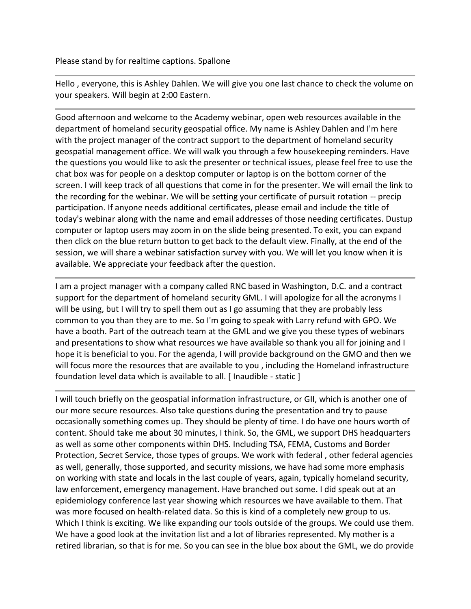Hello , everyone, this is Ashley Dahlen. We will give you one last chance to check the volume on your speakers. Will begin at 2:00 Eastern.

Good afternoon and welcome to the Academy webinar, open web resources available in the department of homeland security geospatial office. My name is Ashley Dahlen and I'm here with the project manager of the contract support to the department of homeland security geospatial management office. We will walk you through a few housekeeping reminders. Have the questions you would like to ask the presenter or technical issues, please feel free to use the chat box was for people on a desktop computer or laptop is on the bottom corner of the screen. I will keep track of all questions that come in for the presenter. We will email the link to the recording for the webinar. We will be setting your certificate of pursuit rotation -- precip participation. If anyone needs additional certificates, please email and include the title of today's webinar along with the name and email addresses of those needing certificates. Dustup computer or laptop users may zoom in on the slide being presented. To exit, you can expand then click on the blue return button to get back to the default view. Finally, at the end of the session, we will share a webinar satisfaction survey with you. We will let you know when it is available. We appreciate your feedback after the question.

I am a project manager with a company called RNC based in Washington, D.C. and a contract support for the department of homeland security GML. I will apologize for all the acronyms I will be using, but I will try to spell them out as I go assuming that they are probably less common to you than they are to me. So I'm going to speak with Larry refund with GPO. We have a booth. Part of the outreach team at the GML and we give you these types of webinars and presentations to show what resources we have available so thank you all for joining and I hope it is beneficial to you. For the agenda, I will provide background on the GMO and then we will focus more the resources that are available to you , including the Homeland infrastructure foundation level data which is available to all. [ Inaudible - static ]

I will touch briefly on the geospatial information infrastructure, or GII, which is another one of our more secure resources. Also take questions during the presentation and try to pause occasionally something comes up. They should be plenty of time. I do have one hours worth of content. Should take me about 30 minutes, I think. So, the GML, we support DHS headquarters as well as some other components within DHS. Including TSA, FEMA, Customs and Border Protection, Secret Service, those types of groups. We work with federal , other federal agencies as well, generally, those supported, and security missions, we have had some more emphasis on working with state and locals in the last couple of years, again, typically homeland security, law enforcement, emergency management. Have branched out some. I did speak out at an epidemiology conference last year showing which resources we have available to them. That was more focused on health-related data. So this is kind of a completely new group to us. Which I think is exciting. We like expanding our tools outside of the groups. We could use them. We have a good look at the invitation list and a lot of libraries represented. My mother is a retired librarian, so that is for me. So you can see in the blue box about the GML, we do provide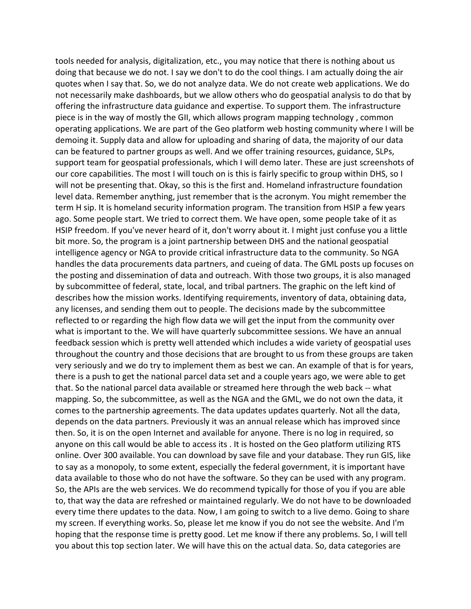tools needed for analysis, digitalization, etc., you may notice that there is nothing about us doing that because we do not. I say we don't to do the cool things. I am actually doing the air quotes when I say that. So, we do not analyze data. We do not create web applications. We do not necessarily make dashboards, but we allow others who do geospatial analysis to do that by offering the infrastructure data guidance and expertise. To support them. The infrastructure piece is in the way of mostly the GII, which allows program mapping technology , common operating applications. We are part of the Geo platform web hosting community where I will be demoing it. Supply data and allow for uploading and sharing of data, the majority of our data can be featured to partner groups as well. And we offer training resources, guidance, SLPs, support team for geospatial professionals, which I will demo later. These are just screenshots of our core capabilities. The most I will touch on is this is fairly specific to group within DHS, so I will not be presenting that. Okay, so this is the first and. Homeland infrastructure foundation level data. Remember anything, just remember that is the acronym. You might remember the term H sip. It is homeland security information program. The transition from HSIP a few years ago. Some people start. We tried to correct them. We have open, some people take of it as HSIP freedom. If you've never heard of it, don't worry about it. I might just confuse you a little bit more. So, the program is a joint partnership between DHS and the national geospatial intelligence agency or NGA to provide critical infrastructure data to the community. So NGA handles the data procurements data partners, and cueing of data. The GML posts up focuses on the posting and dissemination of data and outreach. With those two groups, it is also managed by subcommittee of federal, state, local, and tribal partners. The graphic on the left kind of describes how the mission works. Identifying requirements, inventory of data, obtaining data, any licenses, and sending them out to people. The decisions made by the subcommittee reflected to or regarding the high flow data we will get the input from the community over what is important to the. We will have quarterly subcommittee sessions. We have an annual feedback session which is pretty well attended which includes a wide variety of geospatial uses throughout the country and those decisions that are brought to us from these groups are taken very seriously and we do try to implement them as best we can. An example of that is for years, there is a push to get the national parcel data set and a couple years ago, we were able to get that. So the national parcel data available or streamed here through the web back -- what mapping. So, the subcommittee, as well as the NGA and the GML, we do not own the data, it comes to the partnership agreements. The data updates updates quarterly. Not all the data, depends on the data partners. Previously it was an annual release which has improved since then. So, it is on the open Internet and available for anyone. There is no log in required, so anyone on this call would be able to access its . It is hosted on the Geo platform utilizing RTS online. Over 300 available. You can download by save file and your database. They run GIS, like to say as a monopoly, to some extent, especially the federal government, it is important have data available to those who do not have the software. So they can be used with any program. So, the APIs are the web services. We do recommend typically for those of you if you are able to, that way the data are refreshed or maintained regularly. We do not have to be downloaded every time there updates to the data. Now, I am going to switch to a live demo. Going to share my screen. If everything works. So, please let me know if you do not see the website. And I'm hoping that the response time is pretty good. Let me know if there any problems. So, I will tell you about this top section later. We will have this on the actual data. So, data categories are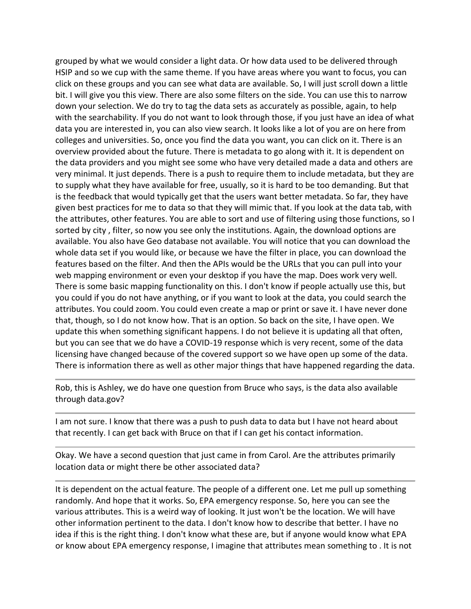grouped by what we would consider a light data. Or how data used to be delivered through HSIP and so we cup with the same theme. If you have areas where you want to focus, you can click on these groups and you can see what data are available. So, I will just scroll down a little bit. I will give you this view. There are also some filters on the side. You can use this to narrow down your selection. We do try to tag the data sets as accurately as possible, again, to help with the searchability. If you do not want to look through those, if you just have an idea of what data you are interested in, you can also view search. It looks like a lot of you are on here from colleges and universities. So, once you find the data you want, you can click on it. There is an overview provided about the future. There is metadata to go along with it. It is dependent on the data providers and you might see some who have very detailed made a data and others are very minimal. It just depends. There is a push to require them to include metadata, but they are to supply what they have available for free, usually, so it is hard to be too demanding. But that is the feedback that would typically get that the users want better metadata. So far, they have given best practices for me to data so that they will mimic that. If you look at the data tab, with the attributes, other features. You are able to sort and use of filtering using those functions, so I sorted by city , filter, so now you see only the institutions. Again, the download options are available. You also have Geo database not available. You will notice that you can download the whole data set if you would like, or because we have the filter in place, you can download the features based on the filter. And then the APIs would be the URLs that you can pull into your web mapping environment or even your desktop if you have the map. Does work very well. There is some basic mapping functionality on this. I don't know if people actually use this, but you could if you do not have anything, or if you want to look at the data, you could search the attributes. You could zoom. You could even create a map or print or save it. I have never done that, though, so I do not know how. That is an option. So back on the site, I have open. We update this when something significant happens. I do not believe it is updating all that often, but you can see that we do have a COVID-19 response which is very recent, some of the data licensing have changed because of the covered support so we have open up some of the data. There is information there as well as other major things that have happened regarding the data.

Rob, this is Ashley, we do have one question from Bruce who says, is the data also available through data.gov?

I am not sure. I know that there was a push to push data to data but I have not heard about that recently. I can get back with Bruce on that if I can get his contact information.

Okay. We have a second question that just came in from Carol. Are the attributes primarily location data or might there be other associated data?

It is dependent on the actual feature. The people of a different one. Let me pull up something randomly. And hope that it works. So, EPA emergency response. So, here you can see the various attributes. This is a weird way of looking. It just won't be the location. We will have other information pertinent to the data. I don't know how to describe that better. I have no idea if this is the right thing. I don't know what these are, but if anyone would know what EPA or know about EPA emergency response, I imagine that attributes mean something to . It is not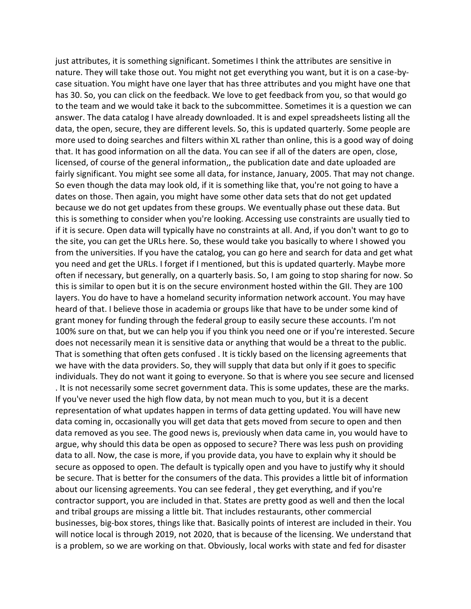just attributes, it is something significant. Sometimes I think the attributes are sensitive in nature. They will take those out. You might not get everything you want, but it is on a case-bycase situation. You might have one layer that has three attributes and you might have one that has 30. So, you can click on the feedback. We love to get feedback from you, so that would go to the team and we would take it back to the subcommittee. Sometimes it is a question we can answer. The data catalog I have already downloaded. It is and expel spreadsheets listing all the data, the open, secure, they are different levels. So, this is updated quarterly. Some people are more used to doing searches and filters within XL rather than online, this is a good way of doing that. It has good information on all the data. You can see if all of the daters are open, close, licensed, of course of the general information,, the publication date and date uploaded are fairly significant. You might see some all data, for instance, January, 2005. That may not change. So even though the data may look old, if it is something like that, you're not going to have a dates on those. Then again, you might have some other data sets that do not get updated because we do not get updates from these groups. We eventually phase out these data. But this is something to consider when you're looking. Accessing use constraints are usually tied to if it is secure. Open data will typically have no constraints at all. And, if you don't want to go to the site, you can get the URLs here. So, these would take you basically to where I showed you from the universities. If you have the catalog, you can go here and search for data and get what you need and get the URLs. I forget if I mentioned, but this is updated quarterly. Maybe more often if necessary, but generally, on a quarterly basis. So, I am going to stop sharing for now. So this is similar to open but it is on the secure environment hosted within the GII. They are 100 layers. You do have to have a homeland security information network account. You may have heard of that. I believe those in academia or groups like that have to be under some kind of grant money for funding through the federal group to easily secure these accounts. I'm not 100% sure on that, but we can help you if you think you need one or if you're interested. Secure does not necessarily mean it is sensitive data or anything that would be a threat to the public. That is something that often gets confused . It is tickly based on the licensing agreements that we have with the data providers. So, they will supply that data but only if it goes to specific individuals. They do not want it going to everyone. So that is where you see secure and licensed . It is not necessarily some secret government data. This is some updates, these are the marks. If you've never used the high flow data, by not mean much to you, but it is a decent representation of what updates happen in terms of data getting updated. You will have new data coming in, occasionally you will get data that gets moved from secure to open and then data removed as you see. The good news is, previously when data came in, you would have to argue, why should this data be open as opposed to secure? There was less push on providing data to all. Now, the case is more, if you provide data, you have to explain why it should be secure as opposed to open. The default is typically open and you have to justify why it should be secure. That is better for the consumers of the data. This provides a little bit of information about our licensing agreements. You can see federal , they get everything, and if you're contractor support, you are included in that. States are pretty good as well and then the local and tribal groups are missing a little bit. That includes restaurants, other commercial businesses, big-box stores, things like that. Basically points of interest are included in their. You will notice local is through 2019, not 2020, that is because of the licensing. We understand that is a problem, so we are working on that. Obviously, local works with state and fed for disaster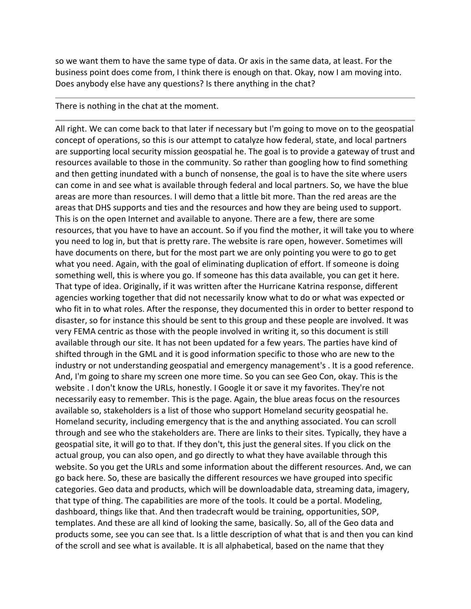so we want them to have the same type of data. Or axis in the same data, at least. For the business point does come from, I think there is enough on that. Okay, now I am moving into. Does anybody else have any questions? Is there anything in the chat?

## There is nothing in the chat at the moment.

All right. We can come back to that later if necessary but I'm going to move on to the geospatial concept of operations, so this is our attempt to catalyze how federal, state, and local partners are supporting local security mission geospatial he. The goal is to provide a gateway of trust and resources available to those in the community. So rather than googling how to find something and then getting inundated with a bunch of nonsense, the goal is to have the site where users can come in and see what is available through federal and local partners. So, we have the blue areas are more than resources. I will demo that a little bit more. Than the red areas are the areas that DHS supports and ties and the resources and how they are being used to support. This is on the open Internet and available to anyone. There are a few, there are some resources, that you have to have an account. So if you find the mother, it will take you to where you need to log in, but that is pretty rare. The website is rare open, however. Sometimes will have documents on there, but for the most part we are only pointing you were to go to get what you need. Again, with the goal of eliminating duplication of effort. If someone is doing something well, this is where you go. If someone has this data available, you can get it here. That type of idea. Originally, if it was written after the Hurricane Katrina response, different agencies working together that did not necessarily know what to do or what was expected or who fit in to what roles. After the response, they documented this in order to better respond to disaster, so for instance this should be sent to this group and these people are involved. It was very FEMA centric as those with the people involved in writing it, so this document is still available through our site. It has not been updated for a few years. The parties have kind of shifted through in the GML and it is good information specific to those who are new to the industry or not understanding geospatial and emergency management's . It is a good reference. And, I'm going to share my screen one more time. So you can see Geo Con, okay. This is the website . I don't know the URLs, honestly. I Google it or save it my favorites. They're not necessarily easy to remember. This is the page. Again, the blue areas focus on the resources available so, stakeholders is a list of those who support Homeland security geospatial he. Homeland security, including emergency that is the and anything associated. You can scroll through and see who the stakeholders are. There are links to their sites. Typically, they have a geospatial site, it will go to that. If they don't, this just the general sites. If you click on the actual group, you can also open, and go directly to what they have available through this website. So you get the URLs and some information about the different resources. And, we can go back here. So, these are basically the different resources we have grouped into specific categories. Geo data and products, which will be downloadable data, streaming data, imagery, that type of thing. The capabilities are more of the tools. It could be a portal. Modeling, dashboard, things like that. And then tradecraft would be training, opportunities, SOP, templates. And these are all kind of looking the same, basically. So, all of the Geo data and products some, see you can see that. Is a little description of what that is and then you can kind of the scroll and see what is available. It is all alphabetical, based on the name that they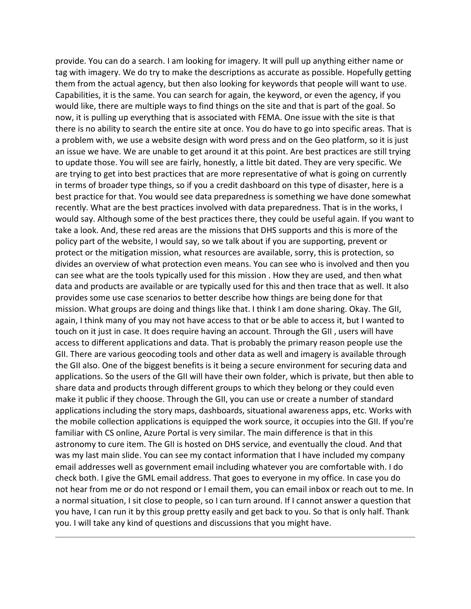provide. You can do a search. I am looking for imagery. It will pull up anything either name or tag with imagery. We do try to make the descriptions as accurate as possible. Hopefully getting them from the actual agency, but then also looking for keywords that people will want to use. Capabilities, it is the same. You can search for again, the keyword, or even the agency, if you would like, there are multiple ways to find things on the site and that is part of the goal. So now, it is pulling up everything that is associated with FEMA. One issue with the site is that there is no ability to search the entire site at once. You do have to go into specific areas. That is a problem with, we use a website design with word press and on the Geo platform, so it is just an issue we have. We are unable to get around it at this point. Are best practices are still trying to update those. You will see are fairly, honestly, a little bit dated. They are very specific. We are trying to get into best practices that are more representative of what is going on currently in terms of broader type things, so if you a credit dashboard on this type of disaster, here is a best practice for that. You would see data preparedness is something we have done somewhat recently. What are the best practices involved with data preparedness. That is in the works, I would say. Although some of the best practices there, they could be useful again. If you want to take a look. And, these red areas are the missions that DHS supports and this is more of the policy part of the website, I would say, so we talk about if you are supporting, prevent or protect or the mitigation mission, what resources are available, sorry, this is protection, so divides an overview of what protection even means. You can see who is involved and then you can see what are the tools typically used for this mission . How they are used, and then what data and products are available or are typically used for this and then trace that as well. It also provides some use case scenarios to better describe how things are being done for that mission. What groups are doing and things like that. I think I am done sharing. Okay. The GII, again, I think many of you may not have access to that or be able to access it, but I wanted to touch on it just in case. It does require having an account. Through the GII , users will have access to different applications and data. That is probably the primary reason people use the GII. There are various geocoding tools and other data as well and imagery is available through the GII also. One of the biggest benefits is it being a secure environment for securing data and applications. So the users of the GII will have their own folder, which is private, but then able to share data and products through different groups to which they belong or they could even make it public if they choose. Through the GII, you can use or create a number of standard applications including the story maps, dashboards, situational awareness apps, etc. Works with the mobile collection applications is equipped the work source, it occupies into the GII. If you're familiar with CS online, Azure Portal is very similar. The main difference is that in this astronomy to cure item. The GII is hosted on DHS service, and eventually the cloud. And that was my last main slide. You can see my contact information that I have included my company email addresses well as government email including whatever you are comfortable with. I do check both. I give the GML email address. That goes to everyone in my office. In case you do not hear from me or do not respond or I email them, you can email inbox or reach out to me. In a normal situation, I sit close to people, so I can turn around. If I cannot answer a question that you have, I can run it by this group pretty easily and get back to you. So that is only half. Thank you. I will take any kind of questions and discussions that you might have.